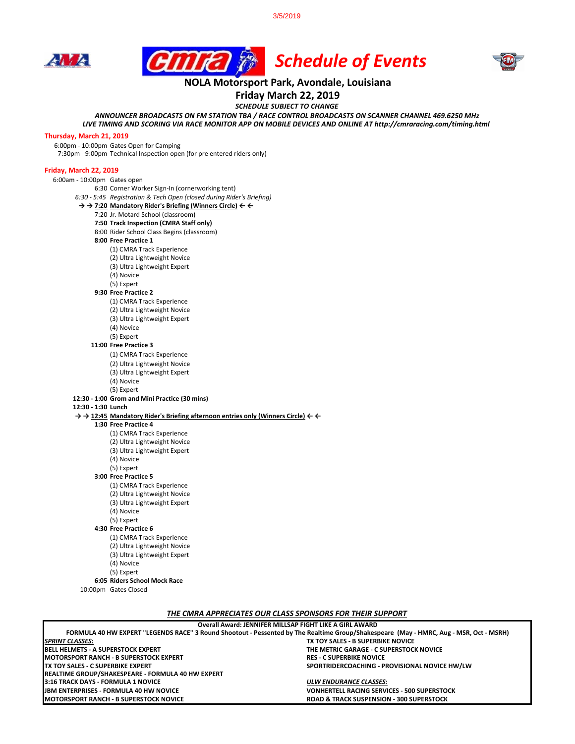3/5/2019







## **NOLA Motorsport Park, Avondale, Louisiana**

**Friday March 22, 2019**

*SCHEDULE SUBJECT TO CHANGE*

*ANNOUNCER BROADCASTS ON FM STATION TBA / RACE CONTROL BROADCASTS ON SCANNER CHANNEL 469.6250 MHz*

*LIVE TIMING AND SCORING VIA RACE MONITOR APP ON MOBILE DEVICES AND ONLINE AT http://cmraracing.com/timing.html* 

#### **Thursday, March 21, 2019**

6:00pm - 10:00pm Gates Open for Camping

7:30pm - 9:00pm Technical Inspection open (for pre entered riders only)

#### **Friday, March 22, 2019**

6:00am - 10:00pm Gates open 6:30 Corner Worker Sign-In (cornerworking tent)

- *6:30 5:45 Registration & Tech Open (closed during Rider's Briefing)*
- **→ → 7:20 Mandatory Rider's Briefing (Winners Circle) ← ←**
	- 7:20 Jr. Motard School (classroom)
		- **7:50 Track Inspection (CMRA Staff only)**
		- 8:00 Rider School Class Begins (classroom)
		- **8:00 Free Practice 1** 
			- (1) CMRA Track Experience
			- (2) Ultra Lightweight Novice
			- (3) Ultra Lightweight Expert
			- (4) Novice
			- (5) Expert
		- **9:30 Free Practice 2** 
			- (1) CMRA Track Experience
			- (2) Ultra Lightweight Novice
			- (3) Ultra Lightweight Expert
			- (4) Novice
			- (5) Expert

#### **11:00 Free Practice 3**

- (1) CMRA Track Experience
- (2) Ultra Lightweight Novice
- (3) Ultra Lightweight Expert
- (4) Novice
- (5) Expert

### **12:30 - 1:00 Grom and Mini Practice (30 mins)**

- **12:30 1:30 Lunch**
- **→ → 12:45 Mandatory Rider's Briefing afternoon entries only (Winners Circle) ← ←**
	- **1:30 Free Practice 4** 
		- (1) CMRA Track Experience
			- (2) Ultra Lightweight Novice
			- (3) Ultra Lightweight Expert
			- (4) Novice
		- (5) Expert
		- **3:00 Free Practice 5**
			- (1) CMRA Track Experience
			- (2) Ultra Lightweight Novice
			- (3) Ultra Lightweight Expert
			- (4) Novice
			- (5) Expert
		- **4:30 Free Practice 6**
		- - (1) CMRA Track Experience (2) Ultra Lightweight Novice
			- (3) Ultra Lightweight Expert
				- (4) Novice
			- (5) Expert
	- **6:05 Riders School Mock Race**
	- 10:00pm Gates Closed

*THE CMRA APPRECIATES OUR CLASS SPONSORS FOR THEIR SUPPORT*

| Overall Award: JENNIFER MILLSAP FIGHT LIKE A GIRL AWARD                                                                                |                                                     |
|----------------------------------------------------------------------------------------------------------------------------------------|-----------------------------------------------------|
| FORMULA 40 HW EXPERT "LEGENDS RACE" 3 Round Shootout - Pessented by The Realtime Group/Shakespeare (May - HMRC, Aug - MSR, Oct - MSRH) |                                                     |
| <b>SPRINT CLASSES:</b>                                                                                                                 | TX TOY SALES - B SUPERBIKE NOVICE                   |
| <b>IBELL HELMETS - A SUPERSTOCK EXPERT</b>                                                                                             | THE METRIC GARAGE - C SUPERSTOCK NOVICE             |
| IMOTORSPORT RANCH - B SUPERSTOCK EXPERT                                                                                                | <b>RES - C SUPERBIKE NOVICE</b>                     |
| TX TOY SALES - C SUPERBIKE EXPERT                                                                                                      | SPORTRIDERCOACHING - PROVISIONAL NOVICE HW/LW       |
| REALTIME GROUP/SHAKESPEARE - FORMULA 40 HW EXPERT                                                                                      |                                                     |
| 3:16 TRACK DAYS - FORMULA 1 NOVICE                                                                                                     | ULW ENDURANCE CLASSES:                              |
| <b>IJBM ENTERPRISES - FORMULA 40 HW NOVICE</b>                                                                                         | <b>VONHERTELL RACING SERVICES - 500 SUPERSTOCK</b>  |
| IMOTORSPORT RANCH - B SUPERSTOCK NOVICE                                                                                                | <b>ROAD &amp; TRACK SUSPENSION - 300 SUPERSTOCK</b> |